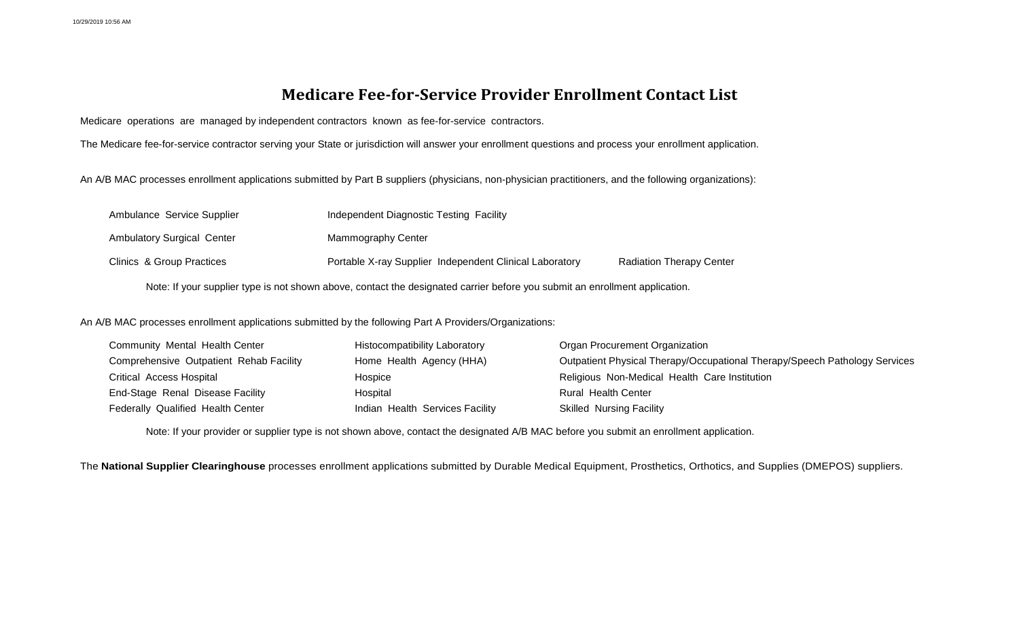## **Medicare Fee-for-Service Provider Enrollment Contact List**

Medicare operations are managed by independent contractors known as fee-for-service contractors.

The Medicare fee-for-service contractor serving your State or jurisdiction will answer your enrollment questions and process your enrollment application.

An A/B MAC processes enrollment applications submitted by Part B suppliers (physicians, non-physician practitioners, and the following organizations):

| Ambulance Service Supplier                                                                                                  | Independent Diagnostic Testing Facility                 |                                 |  |  |  |
|-----------------------------------------------------------------------------------------------------------------------------|---------------------------------------------------------|---------------------------------|--|--|--|
| <b>Ambulatory Surgical Center</b>                                                                                           | Mammography Center                                      |                                 |  |  |  |
| Clinics & Group Practices                                                                                                   | Portable X-ray Supplier Independent Clinical Laboratory | <b>Radiation Therapy Center</b> |  |  |  |
| Note: If your supplier type is not shown above, contact the designated carrier before you submit an enrollment application. |                                                         |                                 |  |  |  |

An A/B MAC processes enrollment applications submitted by the following Part A Providers/Organizations:

| <b>Community Mental Health Center</b>   | Histocompatibility Laboratory   | Organ Procurement Organization                                             |
|-----------------------------------------|---------------------------------|----------------------------------------------------------------------------|
| Comprehensive Outpatient Rehab Facility | Home Health Agency (HHA)        | Outpatient Physical Therapy/Occupational Therapy/Speech Pathology Services |
| Critical Access Hospital                | Hospice                         | Religious Non-Medical Health Care Institution                              |
| End-Stage Renal Disease Facility        | Hospital                        | Rural Health Center                                                        |
| Federally Qualified Health Center       | Indian Health Services Facility | <b>Skilled Nursing Facility</b>                                            |

Note: If your provider or supplier type is not shown above, contact the designated A/B MAC before you submit an enrollment application.

The **National Supplier Clearinghouse** processes enrollment applications submitted by Durable Medical Equipment, Prosthetics, Orthotics, and Supplies (DMEPOS) suppliers.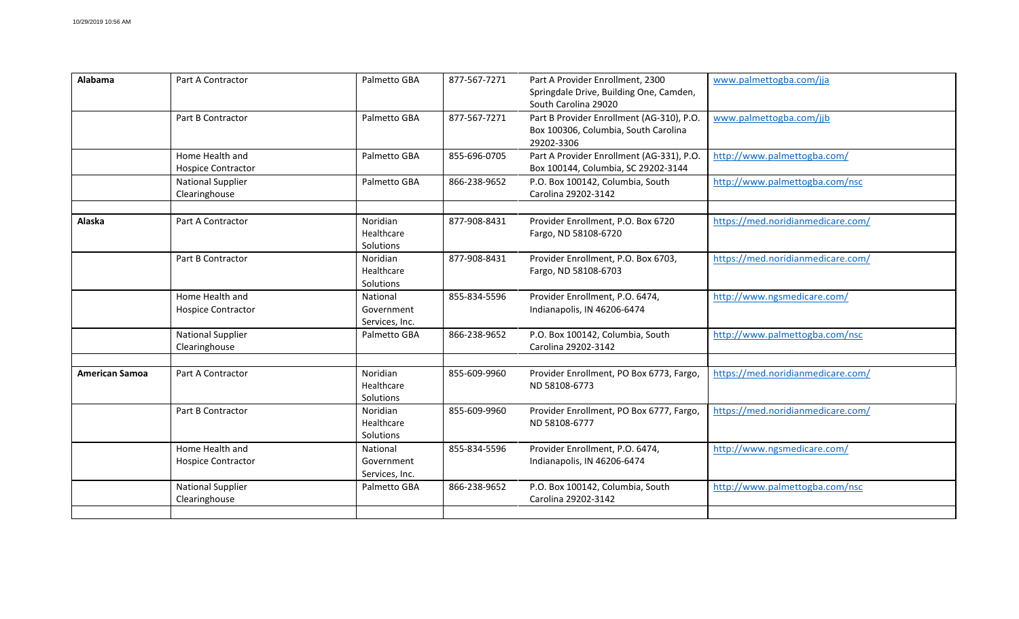| Alabama               | Part A Contractor                            | Palmetto GBA                             | 877-567-7271 | Part A Provider Enrollment, 2300<br>Springdale Drive, Building One, Camden,<br>South Carolina 29020 | www.palmettogba.com/jja           |
|-----------------------|----------------------------------------------|------------------------------------------|--------------|-----------------------------------------------------------------------------------------------------|-----------------------------------|
|                       | Part B Contractor                            | Palmetto GBA                             | 877-567-7271 | Part B Provider Enrollment (AG-310), P.O.<br>Box 100306, Columbia, South Carolina<br>29202-3306     | www.palmettogba.com/jjb           |
|                       | Home Health and<br><b>Hospice Contractor</b> | Palmetto GBA                             | 855-696-0705 | Part A Provider Enrollment (AG-331), P.O.<br>Box 100144, Columbia, SC 29202-3144                    | http://www.palmettogba.com/       |
|                       | <b>National Supplier</b><br>Clearinghouse    | Palmetto GBA                             | 866-238-9652 | P.O. Box 100142, Columbia, South<br>Carolina 29202-3142                                             | http://www.palmettogba.com/nsc    |
| Alaska                | Part A Contractor                            | Noridian<br>Healthcare<br>Solutions      | 877-908-8431 | Provider Enrollment, P.O. Box 6720<br>Fargo, ND 58108-6720                                          | https://med.noridianmedicare.com/ |
|                       | Part B Contractor                            | Noridian<br>Healthcare<br>Solutions      | 877-908-8431 | Provider Enrollment, P.O. Box 6703,<br>Fargo, ND 58108-6703                                         | https://med.noridianmedicare.com/ |
|                       | Home Health and<br><b>Hospice Contractor</b> | National<br>Government<br>Services, Inc. | 855-834-5596 | Provider Enrollment, P.O. 6474,<br>Indianapolis, IN 46206-6474                                      | http://www.ngsmedicare.com/       |
|                       | <b>National Supplier</b><br>Clearinghouse    | Palmetto GBA                             | 866-238-9652 | P.O. Box 100142, Columbia, South<br>Carolina 29202-3142                                             | http://www.palmettogba.com/nsc    |
| <b>American Samoa</b> | Part A Contractor                            | Noridian<br>Healthcare<br>Solutions      | 855-609-9960 | Provider Enrollment, PO Box 6773, Fargo,<br>ND 58108-6773                                           | https://med.noridianmedicare.com/ |
|                       | Part B Contractor                            | Noridian<br>Healthcare<br>Solutions      | 855-609-9960 | Provider Enrollment, PO Box 6777, Fargo,<br>ND 58108-6777                                           | https://med.noridianmedicare.com/ |
|                       | Home Health and<br><b>Hospice Contractor</b> | National<br>Government<br>Services, Inc. | 855-834-5596 | Provider Enrollment, P.O. 6474,<br>Indianapolis, IN 46206-6474                                      | http://www.ngsmedicare.com/       |
|                       | <b>National Supplier</b><br>Clearinghouse    | Palmetto GBA                             | 866-238-9652 | P.O. Box 100142, Columbia, South<br>Carolina 29202-3142                                             | http://www.palmettogba.com/nsc    |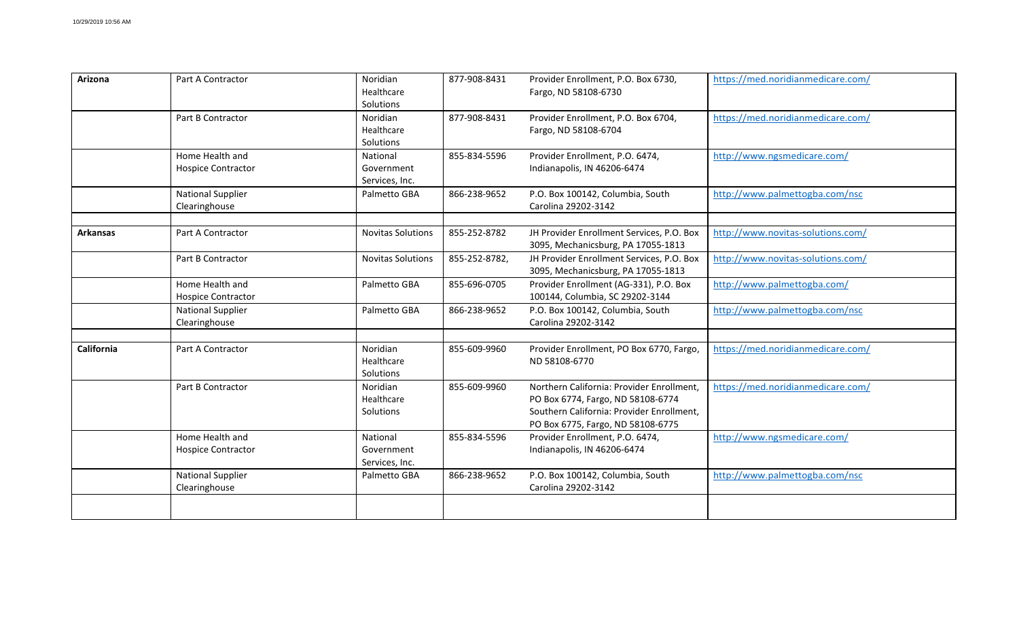| Arizona           | Part A Contractor                            | Noridian<br>Healthcare<br>Solutions      | 877-908-8431  | Provider Enrollment, P.O. Box 6730,<br>Fargo, ND 58108-6730                                                                                                      | https://med.noridianmedicare.com/ |
|-------------------|----------------------------------------------|------------------------------------------|---------------|------------------------------------------------------------------------------------------------------------------------------------------------------------------|-----------------------------------|
|                   | Part B Contractor                            | Noridian<br>Healthcare<br>Solutions      | 877-908-8431  | Provider Enrollment, P.O. Box 6704,<br>Fargo, ND 58108-6704                                                                                                      | https://med.noridianmedicare.com/ |
|                   | Home Health and<br><b>Hospice Contractor</b> | National<br>Government<br>Services, Inc. | 855-834-5596  | Provider Enrollment, P.O. 6474,<br>Indianapolis, IN 46206-6474                                                                                                   | http://www.ngsmedicare.com/       |
|                   | <b>National Supplier</b><br>Clearinghouse    | Palmetto GBA                             | 866-238-9652  | P.O. Box 100142, Columbia, South<br>Carolina 29202-3142                                                                                                          | http://www.palmettogba.com/nsc    |
| <b>Arkansas</b>   | Part A Contractor                            | <b>Novitas Solutions</b>                 | 855-252-8782  | JH Provider Enrollment Services, P.O. Box<br>3095, Mechanicsburg, PA 17055-1813                                                                                  | http://www.novitas-solutions.com/ |
|                   | Part B Contractor                            | <b>Novitas Solutions</b>                 | 855-252-8782, | JH Provider Enrollment Services, P.O. Box<br>3095, Mechanicsburg, PA 17055-1813                                                                                  | http://www.novitas-solutions.com/ |
|                   | Home Health and<br><b>Hospice Contractor</b> | Palmetto GBA                             | 855-696-0705  | Provider Enrollment (AG-331), P.O. Box<br>100144, Columbia, SC 29202-3144                                                                                        | http://www.palmettogba.com/       |
|                   | <b>National Supplier</b><br>Clearinghouse    | Palmetto GBA                             | 866-238-9652  | P.O. Box 100142, Columbia, South<br>Carolina 29202-3142                                                                                                          | http://www.palmettogba.com/nsc    |
| <b>California</b> | Part A Contractor                            | Noridian<br>Healthcare<br>Solutions      | 855-609-9960  | Provider Enrollment, PO Box 6770, Fargo,<br>ND 58108-6770                                                                                                        | https://med.noridianmedicare.com/ |
|                   | Part B Contractor                            | Noridian<br>Healthcare<br>Solutions      | 855-609-9960  | Northern California: Provider Enrollment,<br>PO Box 6774, Fargo, ND 58108-6774<br>Southern California: Provider Enrollment,<br>PO Box 6775, Fargo, ND 58108-6775 | https://med.noridianmedicare.com/ |
|                   | Home Health and<br><b>Hospice Contractor</b> | National<br>Government<br>Services, Inc. | 855-834-5596  | Provider Enrollment, P.O. 6474,<br>Indianapolis, IN 46206-6474                                                                                                   | http://www.ngsmedicare.com/       |
|                   | <b>National Supplier</b><br>Clearinghouse    | Palmetto GBA                             | 866-238-9652  | P.O. Box 100142, Columbia, South<br>Carolina 29202-3142                                                                                                          | http://www.palmettogba.com/nsc    |
|                   |                                              |                                          |               |                                                                                                                                                                  |                                   |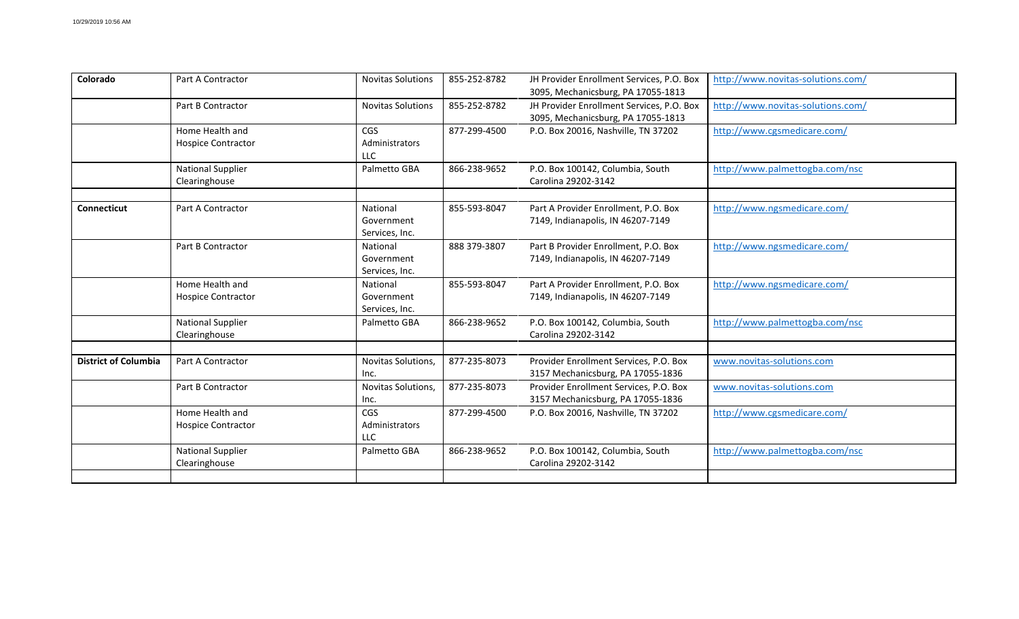| Colorado                    | Part A Contractor                            | <b>Novitas Solutions</b>                   | 855-252-8782 | JH Provider Enrollment Services, P.O. Box<br>3095, Mechanicsburg, PA 17055-1813 | http://www.novitas-solutions.com/ |
|-----------------------------|----------------------------------------------|--------------------------------------------|--------------|---------------------------------------------------------------------------------|-----------------------------------|
|                             | Part B Contractor                            | <b>Novitas Solutions</b>                   | 855-252-8782 | JH Provider Enrollment Services, P.O. Box<br>3095, Mechanicsburg, PA 17055-1813 | http://www.novitas-solutions.com/ |
|                             | Home Health and<br><b>Hospice Contractor</b> | CGS<br>Administrators<br><b>LLC</b>        | 877-299-4500 | P.O. Box 20016, Nashville, TN 37202                                             | http://www.cgsmedicare.com/       |
|                             | <b>National Supplier</b><br>Clearinghouse    | Palmetto GBA                               | 866-238-9652 | P.O. Box 100142, Columbia, South<br>Carolina 29202-3142                         | http://www.palmettogba.com/nsc    |
| <b>Connecticut</b>          | Part A Contractor                            | National<br>Government<br>Services, Inc.   | 855-593-8047 | Part A Provider Enrollment, P.O. Box<br>7149, Indianapolis, IN 46207-7149       | http://www.ngsmedicare.com/       |
|                             | Part B Contractor                            | National<br>Government<br>Services, Inc.   | 888 379-3807 | Part B Provider Enrollment, P.O. Box<br>7149, Indianapolis, IN 46207-7149       | http://www.ngsmedicare.com/       |
|                             | Home Health and<br><b>Hospice Contractor</b> | National<br>Government<br>Services, Inc.   | 855-593-8047 | Part A Provider Enrollment, P.O. Box<br>7149, Indianapolis, IN 46207-7149       | http://www.ngsmedicare.com/       |
|                             | <b>National Supplier</b><br>Clearinghouse    | Palmetto GBA                               | 866-238-9652 | P.O. Box 100142, Columbia, South<br>Carolina 29202-3142                         | http://www.palmettogba.com/nsc    |
| <b>District of Columbia</b> | Part A Contractor                            | Novitas Solutions,<br>Inc.                 | 877-235-8073 | Provider Enrollment Services, P.O. Box<br>3157 Mechanicsburg, PA 17055-1836     | www.novitas-solutions.com         |
|                             | Part B Contractor                            | Novitas Solutions,<br>Inc.                 | 877-235-8073 | Provider Enrollment Services, P.O. Box<br>3157 Mechanicsburg, PA 17055-1836     | www.novitas-solutions.com         |
|                             | Home Health and<br><b>Hospice Contractor</b> | <b>CGS</b><br>Administrators<br><b>LLC</b> | 877-299-4500 | P.O. Box 20016, Nashville, TN 37202                                             | http://www.cgsmedicare.com/       |
|                             | <b>National Supplier</b><br>Clearinghouse    | Palmetto GBA                               | 866-238-9652 | P.O. Box 100142, Columbia, South<br>Carolina 29202-3142                         | http://www.palmettogba.com/nsc    |
|                             |                                              |                                            |              |                                                                                 |                                   |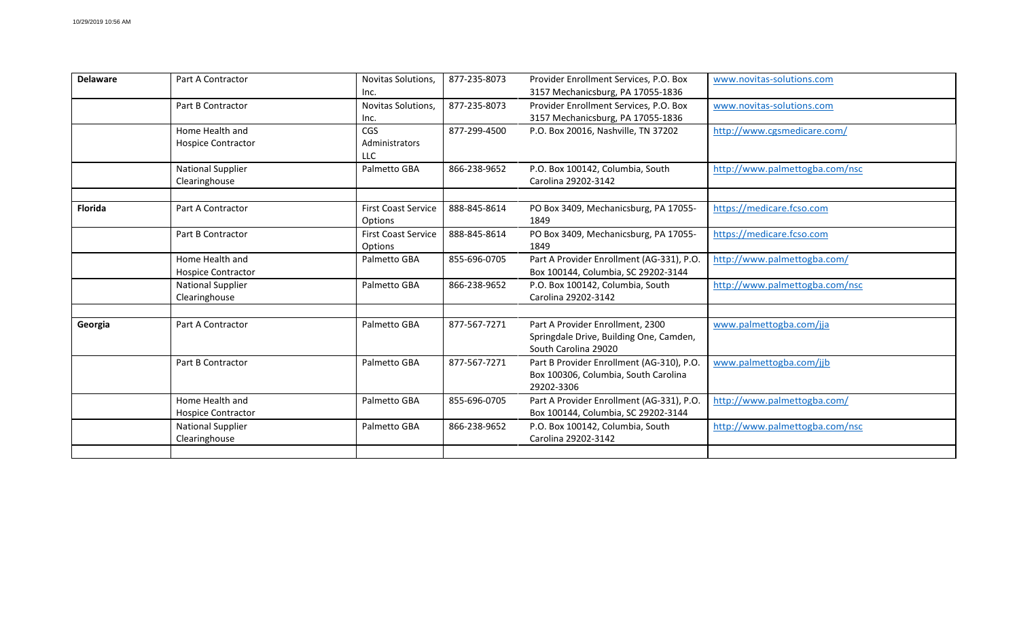| <b>Delaware</b> | Part A Contractor                            | Novitas Solutions,<br>Inc.            | 877-235-8073 | Provider Enrollment Services, P.O. Box<br>3157 Mechanicsburg, PA 17055-1836                         | www.novitas-solutions.com      |
|-----------------|----------------------------------------------|---------------------------------------|--------------|-----------------------------------------------------------------------------------------------------|--------------------------------|
|                 | Part B Contractor                            | Novitas Solutions,<br>Inc.            | 877-235-8073 | Provider Enrollment Services, P.O. Box<br>3157 Mechanicsburg, PA 17055-1836                         | www.novitas-solutions.com      |
|                 | Home Health and<br><b>Hospice Contractor</b> | CGS<br>Administrators<br>LLC          | 877-299-4500 | P.O. Box 20016, Nashville, TN 37202                                                                 | http://www.cgsmedicare.com/    |
|                 | <b>National Supplier</b><br>Clearinghouse    | Palmetto GBA                          | 866-238-9652 | P.O. Box 100142, Columbia, South<br>Carolina 29202-3142                                             | http://www.palmettogba.com/nsc |
| <b>Florida</b>  | Part A Contractor                            | <b>First Coast Service</b><br>Options | 888-845-8614 | PO Box 3409, Mechanicsburg, PA 17055-<br>1849                                                       | https://medicare.fcso.com      |
|                 | Part B Contractor                            | <b>First Coast Service</b><br>Options | 888-845-8614 | PO Box 3409, Mechanicsburg, PA 17055-<br>1849                                                       | https://medicare.fcso.com      |
|                 | Home Health and<br><b>Hospice Contractor</b> | Palmetto GBA                          | 855-696-0705 | Part A Provider Enrollment (AG-331), P.O.<br>Box 100144, Columbia, SC 29202-3144                    | http://www.palmettogba.com/    |
|                 | <b>National Supplier</b><br>Clearinghouse    | Palmetto GBA                          | 866-238-9652 | P.O. Box 100142, Columbia, South<br>Carolina 29202-3142                                             | http://www.palmettogba.com/nsc |
| Georgia         | Part A Contractor                            | Palmetto GBA                          | 877-567-7271 | Part A Provider Enrollment, 2300<br>Springdale Drive, Building One, Camden,<br>South Carolina 29020 | www.palmettogba.com/jja        |
|                 | Part B Contractor                            | Palmetto GBA                          | 877-567-7271 | Part B Provider Enrollment (AG-310), P.O.<br>Box 100306, Columbia, South Carolina<br>29202-3306     | www.palmettogba.com/jjb        |
|                 | Home Health and<br><b>Hospice Contractor</b> | Palmetto GBA                          | 855-696-0705 | Part A Provider Enrollment (AG-331), P.O.<br>Box 100144, Columbia, SC 29202-3144                    | http://www.palmettogba.com/    |
|                 | <b>National Supplier</b><br>Clearinghouse    | Palmetto GBA                          | 866-238-9652 | P.O. Box 100142, Columbia, South<br>Carolina 29202-3142                                             | http://www.palmettogba.com/nsc |
|                 |                                              |                                       |              |                                                                                                     |                                |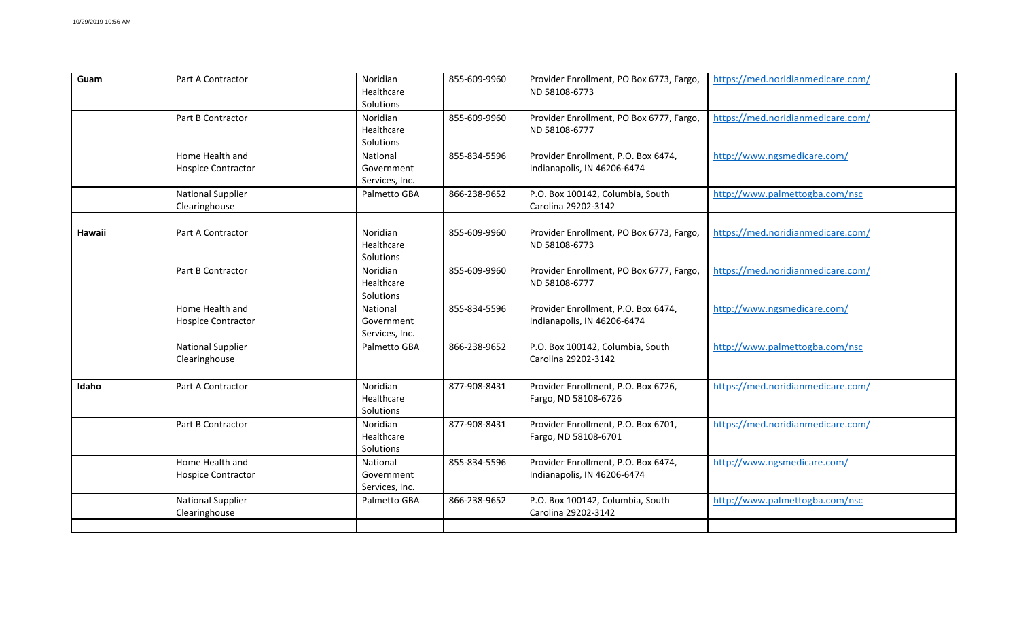| Guam   | Part A Contractor                            | Noridian<br>Healthcare<br>Solutions      | 855-609-9960 | Provider Enrollment, PO Box 6773, Fargo,<br>ND 58108-6773          | https://med.noridianmedicare.com/ |
|--------|----------------------------------------------|------------------------------------------|--------------|--------------------------------------------------------------------|-----------------------------------|
|        | Part B Contractor                            | Noridian<br>Healthcare<br>Solutions      | 855-609-9960 | Provider Enrollment, PO Box 6777, Fargo,<br>ND 58108-6777          | https://med.noridianmedicare.com/ |
|        | Home Health and<br><b>Hospice Contractor</b> | National<br>Government<br>Services, Inc. | 855-834-5596 | Provider Enrollment, P.O. Box 6474,<br>Indianapolis, IN 46206-6474 | http://www.ngsmedicare.com/       |
|        | <b>National Supplier</b><br>Clearinghouse    | Palmetto GBA                             | 866-238-9652 | P.O. Box 100142, Columbia, South<br>Carolina 29202-3142            | http://www.palmettogba.com/nsc    |
| Hawaii | Part A Contractor                            | Noridian<br>Healthcare<br>Solutions      | 855-609-9960 | Provider Enrollment, PO Box 6773, Fargo,<br>ND 58108-6773          | https://med.noridianmedicare.com/ |
|        | Part B Contractor                            | Noridian<br>Healthcare<br>Solutions      | 855-609-9960 | Provider Enrollment, PO Box 6777, Fargo,<br>ND 58108-6777          | https://med.noridianmedicare.com/ |
|        | Home Health and<br><b>Hospice Contractor</b> | National<br>Government<br>Services, Inc. | 855-834-5596 | Provider Enrollment, P.O. Box 6474,<br>Indianapolis, IN 46206-6474 | http://www.ngsmedicare.com/       |
|        | <b>National Supplier</b><br>Clearinghouse    | Palmetto GBA                             | 866-238-9652 | P.O. Box 100142, Columbia, South<br>Carolina 29202-3142            | http://www.palmettogba.com/nsc    |
| Idaho  | Part A Contractor                            | Noridian<br>Healthcare<br>Solutions      | 877-908-8431 | Provider Enrollment, P.O. Box 6726,<br>Fargo, ND 58108-6726        | https://med.noridianmedicare.com/ |
|        | Part B Contractor                            | Noridian<br>Healthcare<br>Solutions      | 877-908-8431 | Provider Enrollment, P.O. Box 6701,<br>Fargo, ND 58108-6701        | https://med.noridianmedicare.com/ |
|        | Home Health and<br><b>Hospice Contractor</b> | National<br>Government<br>Services, Inc. | 855-834-5596 | Provider Enrollment, P.O. Box 6474,<br>Indianapolis, IN 46206-6474 | http://www.ngsmedicare.com/       |
|        | <b>National Supplier</b><br>Clearinghouse    | Palmetto GBA                             | 866-238-9652 | P.O. Box 100142, Columbia, South<br>Carolina 29202-3142            | http://www.palmettogba.com/nsc    |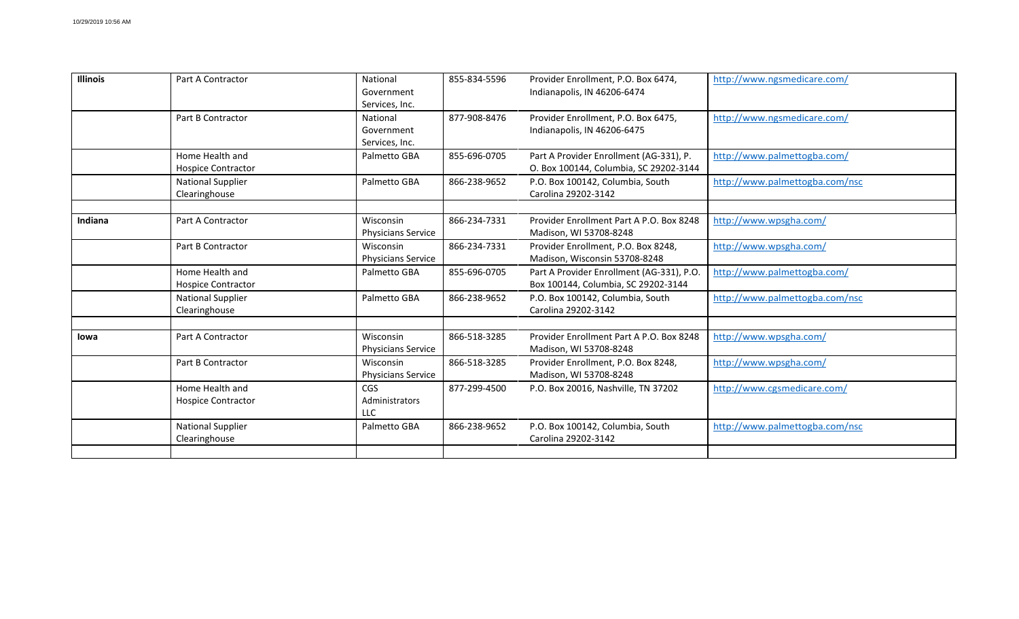| <b>Illinois</b> | Part A Contractor                            | National<br>Government<br>Services, Inc.      | 855-834-5596 | Provider Enrollment, P.O. Box 6474,<br>Indianapolis, IN 46206-6474                | http://www.ngsmedicare.com/    |
|-----------------|----------------------------------------------|-----------------------------------------------|--------------|-----------------------------------------------------------------------------------|--------------------------------|
|                 | Part B Contractor                            | National<br>Government<br>Services, Inc.      | 877-908-8476 | Provider Enrollment, P.O. Box 6475,<br>Indianapolis, IN 46206-6475                | http://www.ngsmedicare.com/    |
|                 | Home Health and<br><b>Hospice Contractor</b> | Palmetto GBA                                  | 855-696-0705 | Part A Provider Enrollment (AG-331), P.<br>O. Box 100144, Columbia, SC 29202-3144 | http://www.palmettogba.com/    |
|                 | <b>National Supplier</b><br>Clearinghouse    | Palmetto GBA                                  | 866-238-9652 | P.O. Box 100142, Columbia, South<br>Carolina 29202-3142                           | http://www.palmettogba.com/nsc |
| Indiana         | Part A Contractor                            | <b>Wisconsin</b><br><b>Physicians Service</b> | 866-234-7331 | Provider Enrollment Part A P.O. Box 8248<br>Madison, WI 53708-8248                | http://www.wpsgha.com/         |
|                 | Part B Contractor                            | Wisconsin<br>Physicians Service               | 866-234-7331 | Provider Enrollment, P.O. Box 8248,<br>Madison, Wisconsin 53708-8248              | http://www.wpsgha.com/         |
|                 | Home Health and<br><b>Hospice Contractor</b> | Palmetto GBA                                  | 855-696-0705 | Part A Provider Enrollment (AG-331), P.O.<br>Box 100144, Columbia, SC 29202-3144  | http://www.palmettogba.com/    |
|                 | <b>National Supplier</b><br>Clearinghouse    | Palmetto GBA                                  | 866-238-9652 | P.O. Box 100142, Columbia, South<br>Carolina 29202-3142                           | http://www.palmettogba.com/nsc |
| lowa            | Part A Contractor                            | <b>Wisconsin</b><br>Physicians Service        | 866-518-3285 | Provider Enrollment Part A P.O. Box 8248<br>Madison, WI 53708-8248                | http://www.wpsgha.com/         |
|                 | Part B Contractor                            | Wisconsin<br>Physicians Service               | 866-518-3285 | Provider Enrollment, P.O. Box 8248,<br>Madison, WI 53708-8248                     | http://www.wpsgha.com/         |
|                 | Home Health and<br><b>Hospice Contractor</b> | <b>CGS</b><br>Administrators<br>ШC            | 877-299-4500 | P.O. Box 20016, Nashville, TN 37202                                               | http://www.cgsmedicare.com/    |
|                 | <b>National Supplier</b><br>Clearinghouse    | Palmetto GBA                                  | 866-238-9652 | P.O. Box 100142, Columbia, South<br>Carolina 29202-3142                           | http://www.palmettogba.com/nsc |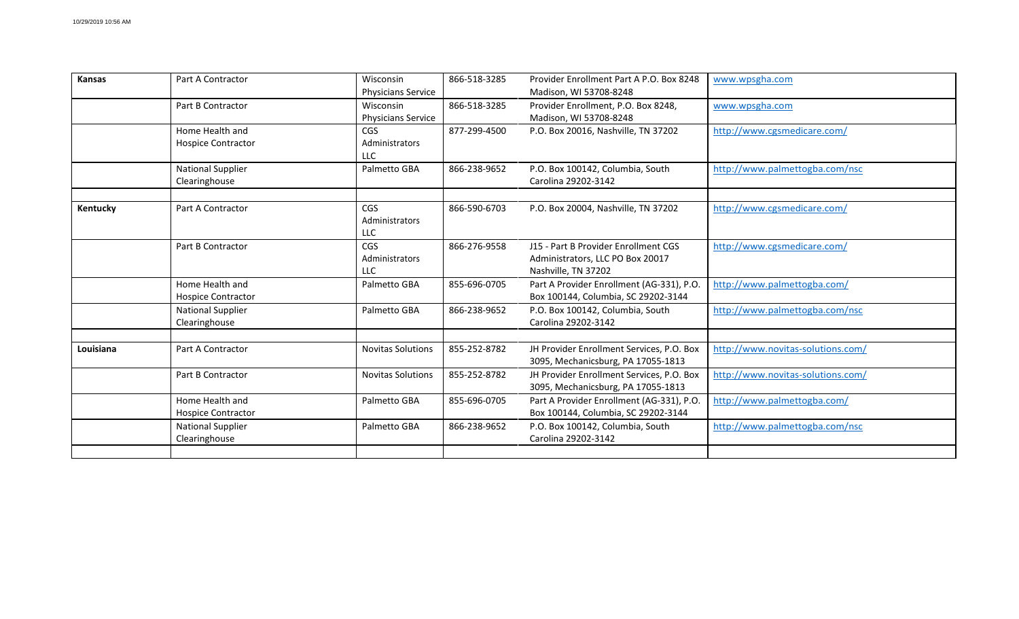| Kansas    | Part A Contractor                            | Wisconsin<br><b>Physicians Service</b>     | 866-518-3285 | Provider Enrollment Part A P.O. Box 8248<br>Madison, WI 53708-8248                              | www.wpsgha.com                    |
|-----------|----------------------------------------------|--------------------------------------------|--------------|-------------------------------------------------------------------------------------------------|-----------------------------------|
|           | Part B Contractor                            | Wisconsin<br>Physicians Service            | 866-518-3285 | Provider Enrollment, P.O. Box 8248,<br>Madison, WI 53708-8248                                   | www.wpsgha.com                    |
|           | Home Health and<br><b>Hospice Contractor</b> | <b>CGS</b><br>Administrators<br>LLC        | 877-299-4500 | P.O. Box 20016, Nashville, TN 37202                                                             | http://www.cgsmedicare.com/       |
|           | <b>National Supplier</b><br>Clearinghouse    | Palmetto GBA                               | 866-238-9652 | P.O. Box 100142, Columbia, South<br>Carolina 29202-3142                                         | http://www.palmettogba.com/nsc    |
| Kentucky  | Part A Contractor                            | <b>CGS</b><br>Administrators<br>LLC        | 866-590-6703 | P.O. Box 20004, Nashville, TN 37202                                                             | http://www.cgsmedicare.com/       |
|           | Part B Contractor                            | <b>CGS</b><br>Administrators<br><b>LLC</b> | 866-276-9558 | J15 - Part B Provider Enrollment CGS<br>Administrators, LLC PO Box 20017<br>Nashville, TN 37202 | http://www.cgsmedicare.com/       |
|           | Home Health and<br><b>Hospice Contractor</b> | Palmetto GBA                               | 855-696-0705 | Part A Provider Enrollment (AG-331), P.O.<br>Box 100144, Columbia, SC 29202-3144                | http://www.palmettogba.com/       |
|           | <b>National Supplier</b><br>Clearinghouse    | Palmetto GBA                               | 866-238-9652 | P.O. Box 100142, Columbia, South<br>Carolina 29202-3142                                         | http://www.palmettogba.com/nsc    |
| Louisiana | Part A Contractor                            | <b>Novitas Solutions</b>                   | 855-252-8782 | JH Provider Enrollment Services, P.O. Box<br>3095, Mechanicsburg, PA 17055-1813                 | http://www.novitas-solutions.com/ |
|           | Part B Contractor                            | <b>Novitas Solutions</b>                   | 855-252-8782 | JH Provider Enrollment Services, P.O. Box<br>3095, Mechanicsburg, PA 17055-1813                 | http://www.novitas-solutions.com/ |
|           | Home Health and<br><b>Hospice Contractor</b> | Palmetto GBA                               | 855-696-0705 | Part A Provider Enrollment (AG-331), P.O.<br>Box 100144, Columbia, SC 29202-3144                | http://www.palmettogba.com/       |
|           | <b>National Supplier</b><br>Clearinghouse    | Palmetto GBA                               | 866-238-9652 | P.O. Box 100142, Columbia, South<br>Carolina 29202-3142                                         | http://www.palmettogba.com/nsc    |
|           |                                              |                                            |              |                                                                                                 |                                   |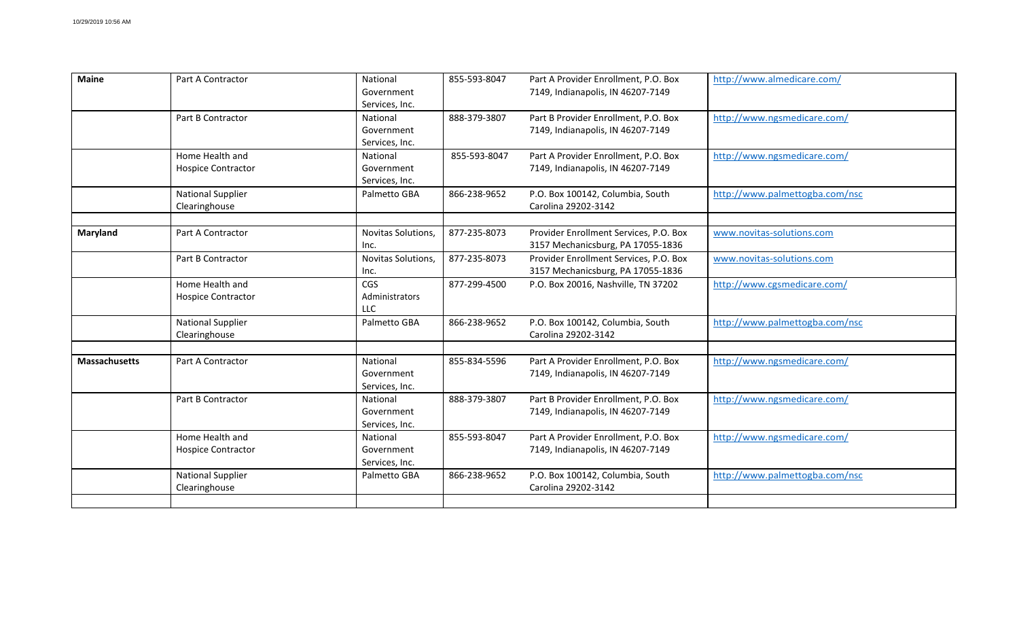| <b>Maine</b>         | Part A Contractor                            | National<br>Government<br>Services, Inc.   | 855-593-8047 | Part A Provider Enrollment, P.O. Box<br>7149, Indianapolis, IN 46207-7149   | http://www.almedicare.com/     |
|----------------------|----------------------------------------------|--------------------------------------------|--------------|-----------------------------------------------------------------------------|--------------------------------|
|                      | Part B Contractor                            | National<br>Government<br>Services, Inc.   | 888-379-3807 | Part B Provider Enrollment, P.O. Box<br>7149, Indianapolis, IN 46207-7149   | http://www.ngsmedicare.com/    |
|                      | Home Health and<br><b>Hospice Contractor</b> | National<br>Government<br>Services, Inc.   | 855-593-8047 | Part A Provider Enrollment, P.O. Box<br>7149, Indianapolis, IN 46207-7149   | http://www.ngsmedicare.com/    |
|                      | <b>National Supplier</b><br>Clearinghouse    | Palmetto GBA                               | 866-238-9652 | P.O. Box 100142, Columbia, South<br>Carolina 29202-3142                     | http://www.palmettogba.com/nsc |
| Maryland             | Part A Contractor                            | Novitas Solutions,<br>Inc.                 | 877-235-8073 | Provider Enrollment Services, P.O. Box<br>3157 Mechanicsburg, PA 17055-1836 | www.novitas-solutions.com      |
|                      | Part B Contractor                            | Novitas Solutions,<br>Inc.                 | 877-235-8073 | Provider Enrollment Services, P.O. Box<br>3157 Mechanicsburg, PA 17055-1836 | www.novitas-solutions.com      |
|                      | Home Health and<br><b>Hospice Contractor</b> | <b>CGS</b><br>Administrators<br><b>LLC</b> | 877-299-4500 | P.O. Box 20016, Nashville, TN 37202                                         | http://www.cgsmedicare.com/    |
|                      | <b>National Supplier</b><br>Clearinghouse    | Palmetto GBA                               | 866-238-9652 | P.O. Box 100142, Columbia, South<br>Carolina 29202-3142                     | http://www.palmettogba.com/nsc |
| <b>Massachusetts</b> | Part A Contractor                            | National<br>Government<br>Services, Inc.   | 855-834-5596 | Part A Provider Enrollment, P.O. Box<br>7149, Indianapolis, IN 46207-7149   | http://www.ngsmedicare.com/    |
|                      | Part B Contractor                            | National<br>Government<br>Services, Inc.   | 888-379-3807 | Part B Provider Enrollment, P.O. Box<br>7149, Indianapolis, IN 46207-7149   | http://www.ngsmedicare.com/    |
|                      | Home Health and<br><b>Hospice Contractor</b> | National<br>Government<br>Services, Inc.   | 855-593-8047 | Part A Provider Enrollment, P.O. Box<br>7149, Indianapolis, IN 46207-7149   | http://www.ngsmedicare.com/    |
|                      | <b>National Supplier</b><br>Clearinghouse    | Palmetto GBA                               | 866-238-9652 | P.O. Box 100142, Columbia, South<br>Carolina 29202-3142                     | http://www.palmettogba.com/nsc |
|                      |                                              |                                            |              |                                                                             |                                |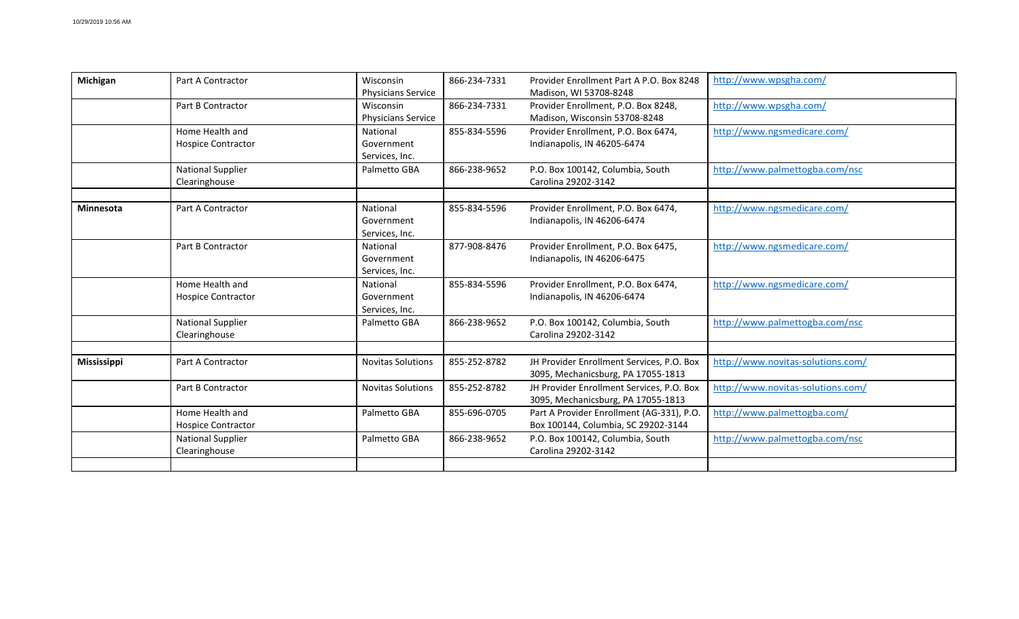| Michigan           | Part A Contractor                            | Wisconsin<br><b>Physicians Service</b>   | 866-234-7331 | Provider Enrollment Part A P.O. Box 8248<br>Madison, WI 53708-8248               | http://www.wpsgha.com/            |
|--------------------|----------------------------------------------|------------------------------------------|--------------|----------------------------------------------------------------------------------|-----------------------------------|
|                    | Part B Contractor                            | Wisconsin<br><b>Physicians Service</b>   | 866-234-7331 | Provider Enrollment, P.O. Box 8248,<br>Madison, Wisconsin 53708-8248             | http://www.wpsgha.com/            |
|                    | Home Health and<br><b>Hospice Contractor</b> | National<br>Government<br>Services, Inc. | 855-834-5596 | Provider Enrollment, P.O. Box 6474,<br>Indianapolis, IN 46205-6474               | http://www.ngsmedicare.com/       |
|                    | <b>National Supplier</b><br>Clearinghouse    | Palmetto GBA                             | 866-238-9652 | P.O. Box 100142, Columbia, South<br>Carolina 29202-3142                          | http://www.palmettogba.com/nsc    |
| Minnesota          | Part A Contractor                            | National<br>Government<br>Services, Inc. | 855-834-5596 | Provider Enrollment, P.O. Box 6474,<br>Indianapolis, IN 46206-6474               | http://www.ngsmedicare.com/       |
|                    | Part B Contractor                            | National<br>Government<br>Services, Inc. | 877-908-8476 | Provider Enrollment, P.O. Box 6475,<br>Indianapolis, IN 46206-6475               | http://www.ngsmedicare.com/       |
|                    | Home Health and<br><b>Hospice Contractor</b> | National<br>Government<br>Services, Inc. | 855-834-5596 | Provider Enrollment, P.O. Box 6474,<br>Indianapolis, IN 46206-6474               | http://www.ngsmedicare.com/       |
|                    | <b>National Supplier</b><br>Clearinghouse    | Palmetto GBA                             | 866-238-9652 | P.O. Box 100142, Columbia, South<br>Carolina 29202-3142                          | http://www.palmettogba.com/nsc    |
| <b>Mississippi</b> | Part A Contractor                            | <b>Novitas Solutions</b>                 | 855-252-8782 | JH Provider Enrollment Services, P.O. Box<br>3095, Mechanicsburg, PA 17055-1813  | http://www.novitas-solutions.com/ |
|                    | Part B Contractor                            | <b>Novitas Solutions</b>                 | 855-252-8782 | JH Provider Enrollment Services, P.O. Box<br>3095, Mechanicsburg, PA 17055-1813  | http://www.novitas-solutions.com/ |
|                    | Home Health and<br><b>Hospice Contractor</b> | Palmetto GBA                             | 855-696-0705 | Part A Provider Enrollment (AG-331), P.O.<br>Box 100144, Columbia, SC 29202-3144 | http://www.palmettogba.com/       |
|                    | <b>National Supplier</b><br>Clearinghouse    | Palmetto GBA                             | 866-238-9652 | P.O. Box 100142, Columbia, South<br>Carolina 29202-3142                          | http://www.palmettogba.com/nsc    |
|                    |                                              |                                          |              |                                                                                  |                                   |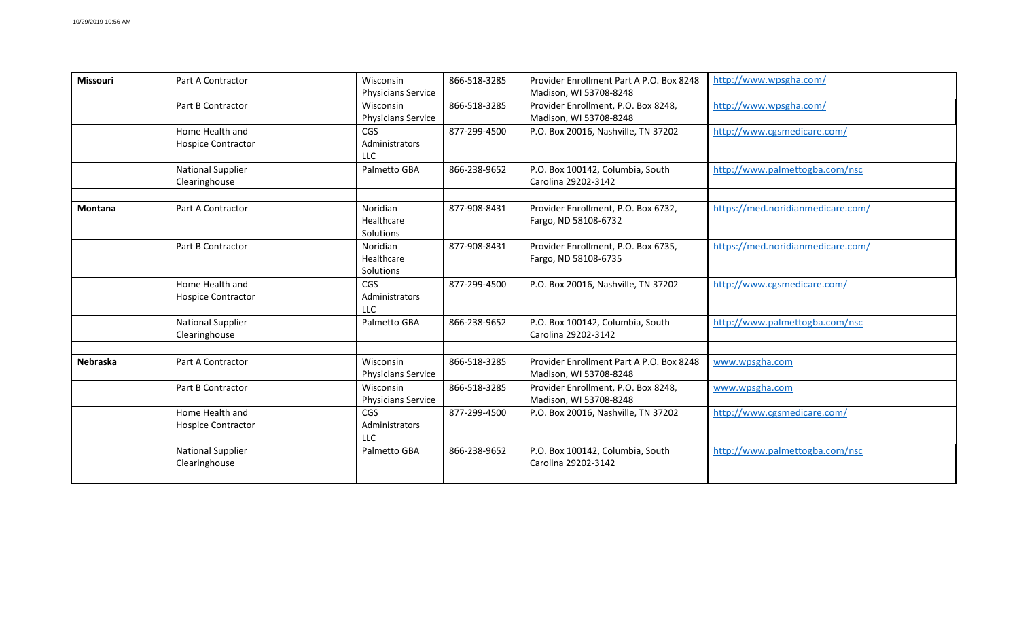| Missouri       | Part A Contractor                            | Wisconsin<br><b>Physicians Service</b>     | 866-518-3285 | Provider Enrollment Part A P.O. Box 8248<br>Madison, WI 53708-8248 | http://www.wpsgha.com/            |
|----------------|----------------------------------------------|--------------------------------------------|--------------|--------------------------------------------------------------------|-----------------------------------|
|                | Part B Contractor                            | Wisconsin<br><b>Physicians Service</b>     | 866-518-3285 | Provider Enrollment, P.O. Box 8248,<br>Madison, WI 53708-8248      | http://www.wpsgha.com/            |
|                | Home Health and<br><b>Hospice Contractor</b> | <b>CGS</b><br>Administrators<br><b>LLC</b> | 877-299-4500 | P.O. Box 20016, Nashville, TN 37202                                | http://www.cgsmedicare.com/       |
|                | <b>National Supplier</b><br>Clearinghouse    | Palmetto GBA                               | 866-238-9652 | P.O. Box 100142, Columbia, South<br>Carolina 29202-3142            | http://www.palmettogba.com/nsc    |
| <b>Montana</b> | Part A Contractor                            | Noridian<br>Healthcare<br>Solutions        | 877-908-8431 | Provider Enrollment, P.O. Box 6732,<br>Fargo, ND 58108-6732        | https://med.noridianmedicare.com/ |
|                | Part B Contractor                            | Noridian<br>Healthcare<br>Solutions        | 877-908-8431 | Provider Enrollment, P.O. Box 6735,<br>Fargo, ND 58108-6735        | https://med.noridianmedicare.com/ |
|                | Home Health and<br><b>Hospice Contractor</b> | <b>CGS</b><br>Administrators<br>LLC        | 877-299-4500 | P.O. Box 20016, Nashville, TN 37202                                | http://www.cgsmedicare.com/       |
|                | <b>National Supplier</b><br>Clearinghouse    | Palmetto GBA                               | 866-238-9652 | P.O. Box 100142, Columbia, South<br>Carolina 29202-3142            | http://www.palmettogba.com/nsc    |
| Nebraska       | Part A Contractor                            | Wisconsin<br><b>Physicians Service</b>     | 866-518-3285 | Provider Enrollment Part A P.O. Box 8248<br>Madison, WI 53708-8248 | www.wpsgha.com                    |
|                | Part B Contractor                            | Wisconsin<br><b>Physicians Service</b>     | 866-518-3285 | Provider Enrollment, P.O. Box 8248,<br>Madison, WI 53708-8248      | www.wpsgha.com                    |
|                | Home Health and<br><b>Hospice Contractor</b> | <b>CGS</b><br>Administrators<br>LLC        | 877-299-4500 | P.O. Box 20016, Nashville, TN 37202                                | http://www.cgsmedicare.com/       |
|                | <b>National Supplier</b><br>Clearinghouse    | Palmetto GBA                               | 866-238-9652 | P.O. Box 100142, Columbia, South<br>Carolina 29202-3142            | http://www.palmettogba.com/nsc    |
|                |                                              |                                            |              |                                                                    |                                   |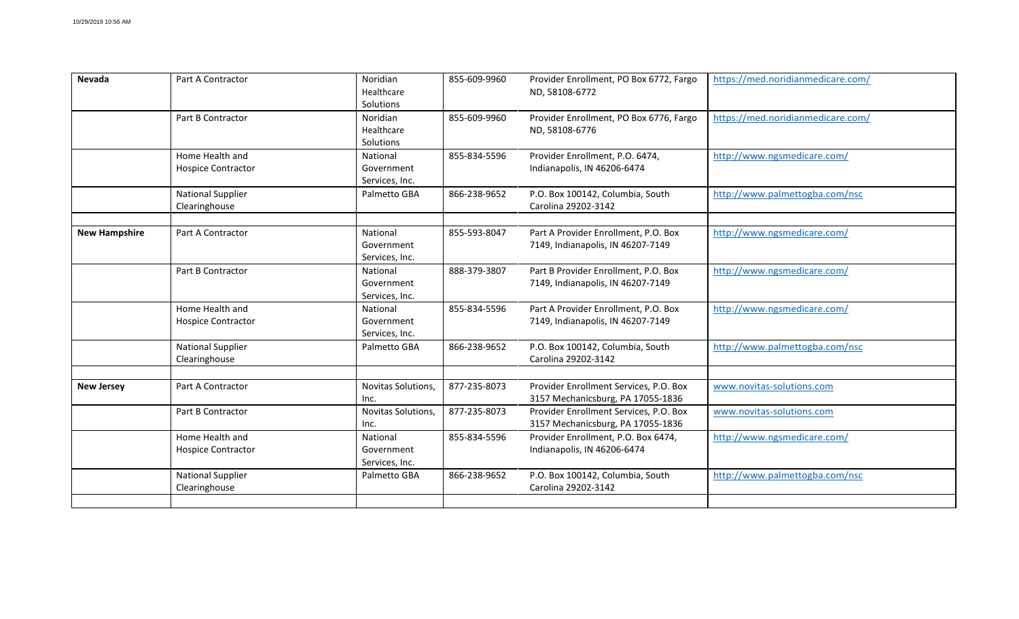| <b>Nevada</b>        | Part A Contractor                            | Noridian<br>Healthcare<br>Solutions      | 855-609-9960 | Provider Enrollment, PO Box 6772, Fargo<br>ND, 58108-6772                   | https://med.noridianmedicare.com/ |
|----------------------|----------------------------------------------|------------------------------------------|--------------|-----------------------------------------------------------------------------|-----------------------------------|
|                      | Part B Contractor                            | Noridian<br>Healthcare<br>Solutions      | 855-609-9960 | Provider Enrollment, PO Box 6776, Fargo<br>ND, 58108-6776                   | https://med.noridianmedicare.com/ |
|                      | Home Health and<br><b>Hospice Contractor</b> | National<br>Government<br>Services, Inc. | 855-834-5596 | Provider Enrollment, P.O. 6474,<br>Indianapolis, IN 46206-6474              | http://www.ngsmedicare.com/       |
|                      | <b>National Supplier</b><br>Clearinghouse    | Palmetto GBA                             | 866-238-9652 | P.O. Box 100142, Columbia, South<br>Carolina 29202-3142                     | http://www.palmettogba.com/nsc    |
| <b>New Hampshire</b> | Part A Contractor                            | National<br>Government<br>Services, Inc. | 855-593-8047 | Part A Provider Enrollment, P.O. Box<br>7149, Indianapolis, IN 46207-7149   | http://www.ngsmedicare.com/       |
|                      | Part B Contractor                            | National<br>Government<br>Services, Inc. | 888-379-3807 | Part B Provider Enrollment, P.O. Box<br>7149, Indianapolis, IN 46207-7149   | http://www.ngsmedicare.com/       |
|                      | Home Health and<br><b>Hospice Contractor</b> | National<br>Government<br>Services, Inc. | 855-834-5596 | Part A Provider Enrollment, P.O. Box<br>7149, Indianapolis, IN 46207-7149   | http://www.ngsmedicare.com/       |
|                      | <b>National Supplier</b><br>Clearinghouse    | Palmetto GBA                             | 866-238-9652 | P.O. Box 100142, Columbia, South<br>Carolina 29202-3142                     | http://www.palmettogba.com/nsc    |
| <b>New Jersey</b>    | Part A Contractor                            | Novitas Solutions,<br>Inc.               | 877-235-8073 | Provider Enrollment Services, P.O. Box<br>3157 Mechanicsburg, PA 17055-1836 | www.novitas-solutions.com         |
|                      | Part B Contractor                            | Novitas Solutions,<br>Inc.               | 877-235-8073 | Provider Enrollment Services, P.O. Box<br>3157 Mechanicsburg, PA 17055-1836 | www.novitas-solutions.com         |
|                      | Home Health and<br><b>Hospice Contractor</b> | National<br>Government<br>Services, Inc. | 855-834-5596 | Provider Enrollment, P.O. Box 6474,<br>Indianapolis, IN 46206-6474          | http://www.ngsmedicare.com/       |
|                      | <b>National Supplier</b><br>Clearinghouse    | Palmetto GBA                             | 866-238-9652 | P.O. Box 100142, Columbia, South<br>Carolina 29202-3142                     | http://www.palmettogba.com/nsc    |
|                      |                                              |                                          |              |                                                                             |                                   |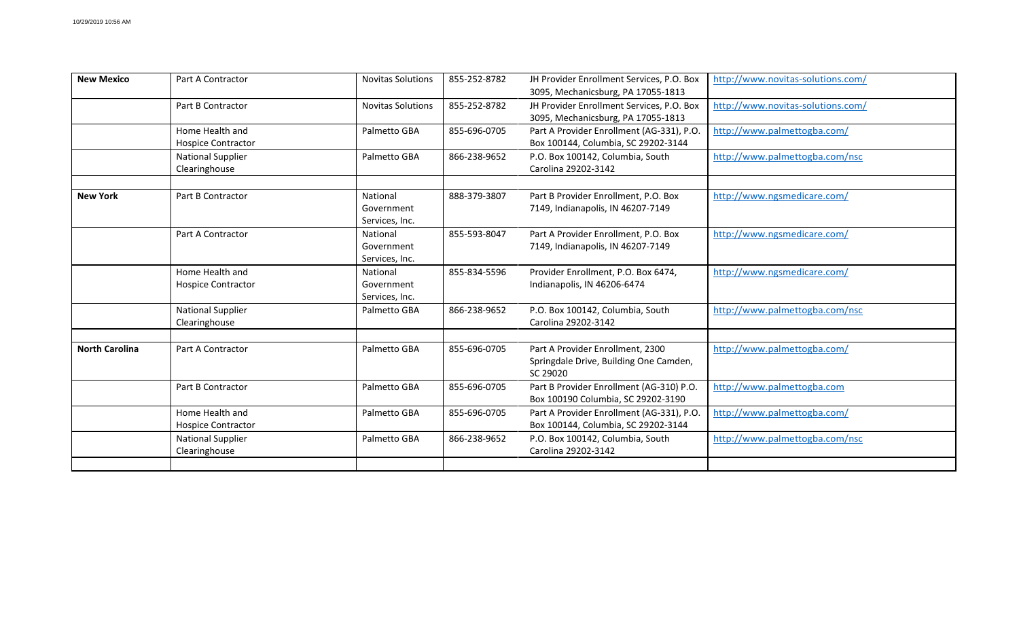| <b>New Mexico</b>     | Part A Contractor                            | <b>Novitas Solutions</b>                 | 855-252-8782 | JH Provider Enrollment Services, P.O. Box<br>3095, Mechanicsburg, PA 17055-1813        | http://www.novitas-solutions.com/ |
|-----------------------|----------------------------------------------|------------------------------------------|--------------|----------------------------------------------------------------------------------------|-----------------------------------|
|                       | Part B Contractor                            | <b>Novitas Solutions</b>                 | 855-252-8782 | JH Provider Enrollment Services, P.O. Box<br>3095, Mechanicsburg, PA 17055-1813        | http://www.novitas-solutions.com/ |
|                       | Home Health and<br><b>Hospice Contractor</b> | Palmetto GBA                             | 855-696-0705 | Part A Provider Enrollment (AG-331), P.O.<br>Box 100144, Columbia, SC 29202-3144       | http://www.palmettogba.com/       |
|                       | <b>National Supplier</b><br>Clearinghouse    | Palmetto GBA                             | 866-238-9652 | P.O. Box 100142, Columbia, South<br>Carolina 29202-3142                                | http://www.palmettogba.com/nsc    |
| <b>New York</b>       | Part B Contractor                            | National<br>Government<br>Services, Inc. | 888-379-3807 | Part B Provider Enrollment, P.O. Box<br>7149, Indianapolis, IN 46207-7149              | http://www.ngsmedicare.com/       |
|                       | Part A Contractor                            | National<br>Government<br>Services, Inc. | 855-593-8047 | Part A Provider Enrollment, P.O. Box<br>7149, Indianapolis, IN 46207-7149              | http://www.ngsmedicare.com/       |
|                       | Home Health and<br><b>Hospice Contractor</b> | National<br>Government<br>Services, Inc. | 855-834-5596 | Provider Enrollment, P.O. Box 6474,<br>Indianapolis, IN 46206-6474                     | http://www.ngsmedicare.com/       |
|                       | <b>National Supplier</b><br>Clearinghouse    | Palmetto GBA                             | 866-238-9652 | P.O. Box 100142, Columbia, South<br>Carolina 29202-3142                                | http://www.palmettogba.com/nsc    |
| <b>North Carolina</b> | Part A Contractor                            | Palmetto GBA                             | 855-696-0705 | Part A Provider Enrollment, 2300<br>Springdale Drive, Building One Camden,<br>SC 29020 | http://www.palmettogba.com/       |
|                       | Part B Contractor                            | Palmetto GBA                             | 855-696-0705 | Part B Provider Enrollment (AG-310) P.O.<br>Box 100190 Columbia, SC 29202-3190         | http://www.palmettogba.com        |
|                       | Home Health and<br><b>Hospice Contractor</b> | Palmetto GBA                             | 855-696-0705 | Part A Provider Enrollment (AG-331), P.O.<br>Box 100144, Columbia, SC 29202-3144       | http://www.palmettogba.com/       |
|                       | <b>National Supplier</b><br>Clearinghouse    | Palmetto GBA                             | 866-238-9652 | P.O. Box 100142, Columbia, South<br>Carolina 29202-3142                                | http://www.palmettogba.com/nsc    |
|                       |                                              |                                          |              |                                                                                        |                                   |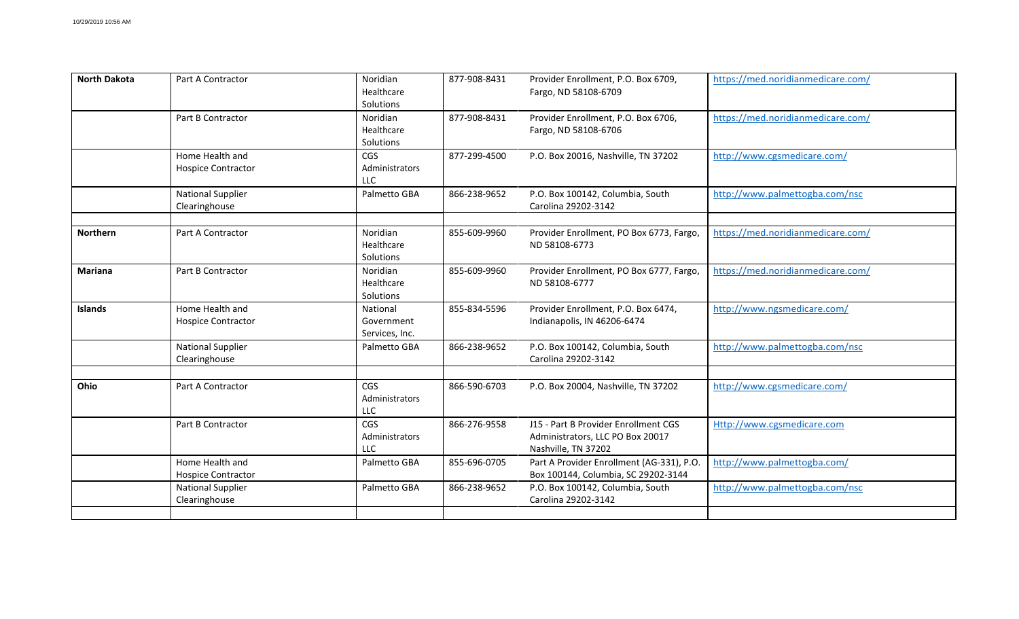| Noridian<br>Provider Enrollment, P.O. Box 6706,<br>https://med.noridianmedicare.com/<br>Part B Contractor<br>877-908-8431<br>Healthcare<br>Fargo, ND 58108-6706<br>Solutions<br>CGS<br>877-299-4500<br>P.O. Box 20016, Nashville, TN 37202<br>Home Health and<br>http://www.cgsmedicare.com/<br><b>Hospice Contractor</b><br>Administrators<br><b>LLC</b><br>866-238-9652<br>http://www.palmettogba.com/nsc<br><b>National Supplier</b><br>Palmetto GBA<br>P.O. Box 100142, Columbia, South<br>Carolina 29202-3142<br>Clearinghouse<br>Noridian<br>https://med.noridianmedicare.com/<br><b>Northern</b><br>Part A Contractor<br>855-609-9960<br>Provider Enrollment, PO Box 6773, Fargo,<br>Healthcare<br>ND 58108-6773<br>Solutions<br>Noridian<br>855-609-9960<br>https://med.noridianmedicare.com/<br><b>Mariana</b><br>Part B Contractor<br>Provider Enrollment, PO Box 6777, Fargo,<br>Healthcare<br>ND 58108-6777<br>Solutions<br><b>Islands</b><br>Home Health and<br>Provider Enrollment, P.O. Box 6474,<br>http://www.ngsmedicare.com/<br>National<br>855-834-5596<br><b>Hospice Contractor</b><br>Government<br>Indianapolis, IN 46206-6474<br>Services, Inc.<br>P.O. Box 100142, Columbia, South<br><b>National Supplier</b><br>866-238-9652<br>http://www.palmettogba.com/nsc<br>Palmetto GBA<br>Carolina 29202-3142<br>Clearinghouse<br>Ohio<br>866-590-6703<br>P.O. Box 20004, Nashville, TN 37202<br>http://www.cgsmedicare.com/<br>Part A Contractor<br><b>CGS</b><br>Administrators<br><b>LLC</b><br><b>CGS</b><br>J15 - Part B Provider Enrollment CGS<br>866-276-9558<br>Http://www.cgsmedicare.com<br>Part B Contractor<br>Administrators<br>Administrators, LLC PO Box 20017<br><b>LLC</b><br>Nashville, TN 37202<br>Home Health and<br>Palmetto GBA<br>855-696-0705<br>Part A Provider Enrollment (AG-331), P.O.<br>http://www.palmettogba.com/<br>Box 100144, Columbia, SC 29202-3144<br><b>Hospice Contractor</b><br>866-238-9652<br>http://www.palmettogba.com/nsc<br><b>National Supplier</b><br>Palmetto GBA<br>P.O. Box 100142, Columbia, South | <b>North Dakota</b> | Part A Contractor | Noridian<br>Healthcare<br>Solutions | 877-908-8431 | Provider Enrollment, P.O. Box 6709,<br>Fargo, ND 58108-6709 | https://med.noridianmedicare.com/ |
|-----------------------------------------------------------------------------------------------------------------------------------------------------------------------------------------------------------------------------------------------------------------------------------------------------------------------------------------------------------------------------------------------------------------------------------------------------------------------------------------------------------------------------------------------------------------------------------------------------------------------------------------------------------------------------------------------------------------------------------------------------------------------------------------------------------------------------------------------------------------------------------------------------------------------------------------------------------------------------------------------------------------------------------------------------------------------------------------------------------------------------------------------------------------------------------------------------------------------------------------------------------------------------------------------------------------------------------------------------------------------------------------------------------------------------------------------------------------------------------------------------------------------------------------------------------------------------------------------------------------------------------------------------------------------------------------------------------------------------------------------------------------------------------------------------------------------------------------------------------------------------------------------------------------------------------------------------------------------------------------------------------------------------------------------------------------------------|---------------------|-------------------|-------------------------------------|--------------|-------------------------------------------------------------|-----------------------------------|
|                                                                                                                                                                                                                                                                                                                                                                                                                                                                                                                                                                                                                                                                                                                                                                                                                                                                                                                                                                                                                                                                                                                                                                                                                                                                                                                                                                                                                                                                                                                                                                                                                                                                                                                                                                                                                                                                                                                                                                                                                                                                             |                     |                   |                                     |              |                                                             |                                   |
|                                                                                                                                                                                                                                                                                                                                                                                                                                                                                                                                                                                                                                                                                                                                                                                                                                                                                                                                                                                                                                                                                                                                                                                                                                                                                                                                                                                                                                                                                                                                                                                                                                                                                                                                                                                                                                                                                                                                                                                                                                                                             |                     |                   |                                     |              |                                                             |                                   |
|                                                                                                                                                                                                                                                                                                                                                                                                                                                                                                                                                                                                                                                                                                                                                                                                                                                                                                                                                                                                                                                                                                                                                                                                                                                                                                                                                                                                                                                                                                                                                                                                                                                                                                                                                                                                                                                                                                                                                                                                                                                                             |                     |                   |                                     |              |                                                             |                                   |
|                                                                                                                                                                                                                                                                                                                                                                                                                                                                                                                                                                                                                                                                                                                                                                                                                                                                                                                                                                                                                                                                                                                                                                                                                                                                                                                                                                                                                                                                                                                                                                                                                                                                                                                                                                                                                                                                                                                                                                                                                                                                             |                     |                   |                                     |              |                                                             |                                   |
|                                                                                                                                                                                                                                                                                                                                                                                                                                                                                                                                                                                                                                                                                                                                                                                                                                                                                                                                                                                                                                                                                                                                                                                                                                                                                                                                                                                                                                                                                                                                                                                                                                                                                                                                                                                                                                                                                                                                                                                                                                                                             |                     |                   |                                     |              |                                                             |                                   |
|                                                                                                                                                                                                                                                                                                                                                                                                                                                                                                                                                                                                                                                                                                                                                                                                                                                                                                                                                                                                                                                                                                                                                                                                                                                                                                                                                                                                                                                                                                                                                                                                                                                                                                                                                                                                                                                                                                                                                                                                                                                                             |                     |                   |                                     |              |                                                             |                                   |
|                                                                                                                                                                                                                                                                                                                                                                                                                                                                                                                                                                                                                                                                                                                                                                                                                                                                                                                                                                                                                                                                                                                                                                                                                                                                                                                                                                                                                                                                                                                                                                                                                                                                                                                                                                                                                                                                                                                                                                                                                                                                             |                     |                   |                                     |              |                                                             |                                   |
|                                                                                                                                                                                                                                                                                                                                                                                                                                                                                                                                                                                                                                                                                                                                                                                                                                                                                                                                                                                                                                                                                                                                                                                                                                                                                                                                                                                                                                                                                                                                                                                                                                                                                                                                                                                                                                                                                                                                                                                                                                                                             |                     |                   |                                     |              |                                                             |                                   |
|                                                                                                                                                                                                                                                                                                                                                                                                                                                                                                                                                                                                                                                                                                                                                                                                                                                                                                                                                                                                                                                                                                                                                                                                                                                                                                                                                                                                                                                                                                                                                                                                                                                                                                                                                                                                                                                                                                                                                                                                                                                                             |                     |                   |                                     |              |                                                             |                                   |
|                                                                                                                                                                                                                                                                                                                                                                                                                                                                                                                                                                                                                                                                                                                                                                                                                                                                                                                                                                                                                                                                                                                                                                                                                                                                                                                                                                                                                                                                                                                                                                                                                                                                                                                                                                                                                                                                                                                                                                                                                                                                             |                     |                   |                                     |              |                                                             |                                   |
| Carolina 29202-3142<br>Clearinghouse                                                                                                                                                                                                                                                                                                                                                                                                                                                                                                                                                                                                                                                                                                                                                                                                                                                                                                                                                                                                                                                                                                                                                                                                                                                                                                                                                                                                                                                                                                                                                                                                                                                                                                                                                                                                                                                                                                                                                                                                                                        |                     |                   |                                     |              |                                                             |                                   |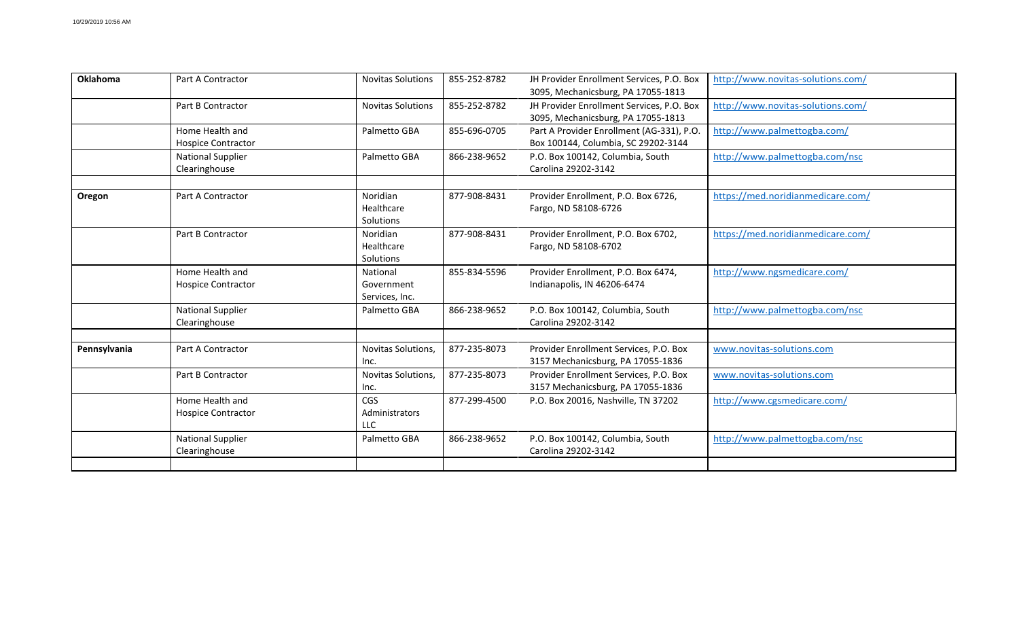| <b>Oklahoma</b> | Part A Contractor                            | <b>Novitas Solutions</b>                   | 855-252-8782 | JH Provider Enrollment Services, P.O. Box<br>3095, Mechanicsburg, PA 17055-1813  | http://www.novitas-solutions.com/ |
|-----------------|----------------------------------------------|--------------------------------------------|--------------|----------------------------------------------------------------------------------|-----------------------------------|
|                 | Part B Contractor                            | <b>Novitas Solutions</b>                   | 855-252-8782 | JH Provider Enrollment Services, P.O. Box<br>3095, Mechanicsburg, PA 17055-1813  | http://www.novitas-solutions.com/ |
|                 | Home Health and<br><b>Hospice Contractor</b> | Palmetto GBA                               | 855-696-0705 | Part A Provider Enrollment (AG-331), P.O.<br>Box 100144, Columbia, SC 29202-3144 | http://www.palmettogba.com/       |
|                 | <b>National Supplier</b><br>Clearinghouse    | Palmetto GBA                               | 866-238-9652 | P.O. Box 100142, Columbia, South<br>Carolina 29202-3142                          | http://www.palmettogba.com/nsc    |
| Oregon          | Part A Contractor                            | Noridian<br>Healthcare<br>Solutions        | 877-908-8431 | Provider Enrollment, P.O. Box 6726,<br>Fargo, ND 58108-6726                      | https://med.noridianmedicare.com/ |
|                 | Part B Contractor                            | Noridian<br>Healthcare<br>Solutions        | 877-908-8431 | Provider Enrollment, P.O. Box 6702,<br>Fargo, ND 58108-6702                      | https://med.noridianmedicare.com/ |
|                 | Home Health and<br><b>Hospice Contractor</b> | National<br>Government<br>Services, Inc.   | 855-834-5596 | Provider Enrollment, P.O. Box 6474,<br>Indianapolis, IN 46206-6474               | http://www.ngsmedicare.com/       |
|                 | <b>National Supplier</b><br>Clearinghouse    | Palmetto GBA                               | 866-238-9652 | P.O. Box 100142, Columbia, South<br>Carolina 29202-3142                          | http://www.palmettogba.com/nsc    |
| Pennsylvania    | Part A Contractor                            | Novitas Solutions,<br>Inc.                 | 877-235-8073 | Provider Enrollment Services, P.O. Box<br>3157 Mechanicsburg, PA 17055-1836      | www.novitas-solutions.com         |
|                 | Part B Contractor                            | Novitas Solutions,<br>Inc.                 | 877-235-8073 | Provider Enrollment Services, P.O. Box<br>3157 Mechanicsburg, PA 17055-1836      | www.novitas-solutions.com         |
|                 | Home Health and<br><b>Hospice Contractor</b> | <b>CGS</b><br>Administrators<br><b>LLC</b> | 877-299-4500 | P.O. Box 20016, Nashville, TN 37202                                              | http://www.cgsmedicare.com/       |
|                 | <b>National Supplier</b><br>Clearinghouse    | Palmetto GBA                               | 866-238-9652 | P.O. Box 100142, Columbia, South<br>Carolina 29202-3142                          | http://www.palmettogba.com/nsc    |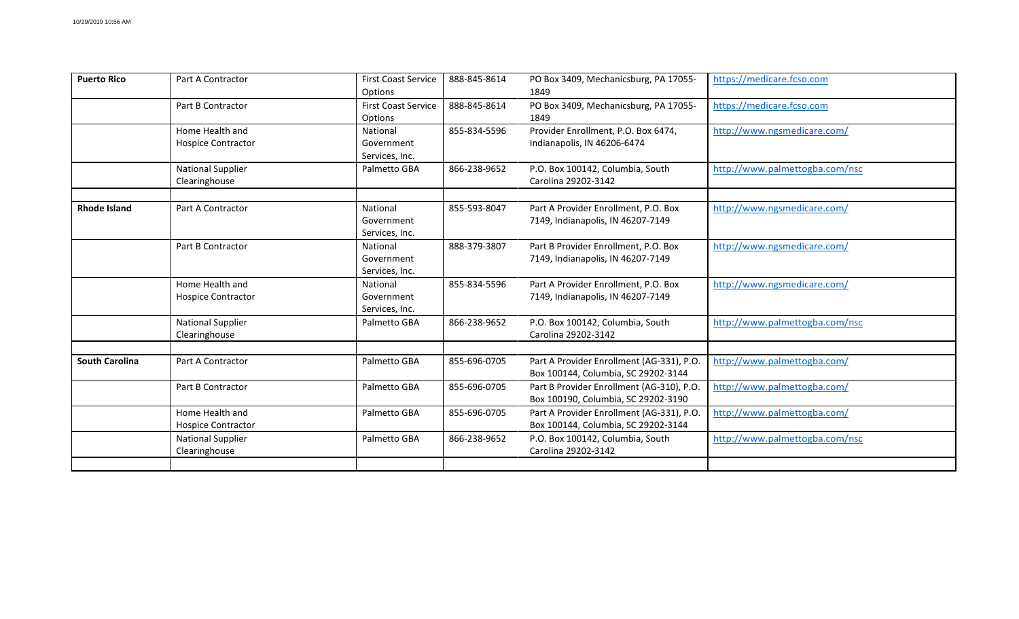| <b>Puerto Rico</b>    | Part A Contractor                            | <b>First Coast Service</b><br>Options    | 888-845-8614 | PO Box 3409, Mechanicsburg, PA 17055-<br>1849                                    | https://medicare.fcso.com      |
|-----------------------|----------------------------------------------|------------------------------------------|--------------|----------------------------------------------------------------------------------|--------------------------------|
|                       | Part B Contractor                            | <b>First Coast Service</b><br>Options    | 888-845-8614 | PO Box 3409, Mechanicsburg, PA 17055-<br>1849                                    | https://medicare.fcso.com      |
|                       | Home Health and<br><b>Hospice Contractor</b> | National<br>Government<br>Services, Inc. | 855-834-5596 | Provider Enrollment, P.O. Box 6474,<br>Indianapolis, IN 46206-6474               | http://www.ngsmedicare.com/    |
|                       | <b>National Supplier</b><br>Clearinghouse    | Palmetto GBA                             | 866-238-9652 | P.O. Box 100142, Columbia, South<br>Carolina 29202-3142                          | http://www.palmettogba.com/nsc |
| <b>Rhode Island</b>   | Part A Contractor                            | National<br>Government<br>Services, Inc. | 855-593-8047 | Part A Provider Enrollment, P.O. Box<br>7149, Indianapolis, IN 46207-7149        | http://www.ngsmedicare.com/    |
|                       | Part B Contractor                            | National<br>Government<br>Services, Inc. | 888-379-3807 | Part B Provider Enrollment, P.O. Box<br>7149, Indianapolis, IN 46207-7149        | http://www.ngsmedicare.com/    |
|                       | Home Health and<br><b>Hospice Contractor</b> | National<br>Government<br>Services, Inc. | 855-834-5596 | Part A Provider Enrollment, P.O. Box<br>7149, Indianapolis, IN 46207-7149        | http://www.ngsmedicare.com/    |
|                       | <b>National Supplier</b><br>Clearinghouse    | Palmetto GBA                             | 866-238-9652 | P.O. Box 100142, Columbia, South<br>Carolina 29202-3142                          | http://www.palmettogba.com/nsc |
| <b>South Carolina</b> | Part A Contractor                            | Palmetto GBA                             | 855-696-0705 | Part A Provider Enrollment (AG-331), P.O.<br>Box 100144, Columbia, SC 29202-3144 | http://www.palmettogba.com/    |
|                       | Part B Contractor                            | Palmetto GBA                             | 855-696-0705 | Part B Provider Enrollment (AG-310), P.O.<br>Box 100190, Columbia, SC 29202-3190 | http://www.palmettogba.com/    |
|                       | Home Health and<br><b>Hospice Contractor</b> | Palmetto GBA                             | 855-696-0705 | Part A Provider Enrollment (AG-331), P.O.<br>Box 100144, Columbia, SC 29202-3144 | http://www.palmettogba.com/    |
|                       | <b>National Supplier</b><br>Clearinghouse    | Palmetto GBA                             | 866-238-9652 | P.O. Box 100142, Columbia, South<br>Carolina 29202-3142                          | http://www.palmettogba.com/nsc |
|                       |                                              |                                          |              |                                                                                  |                                |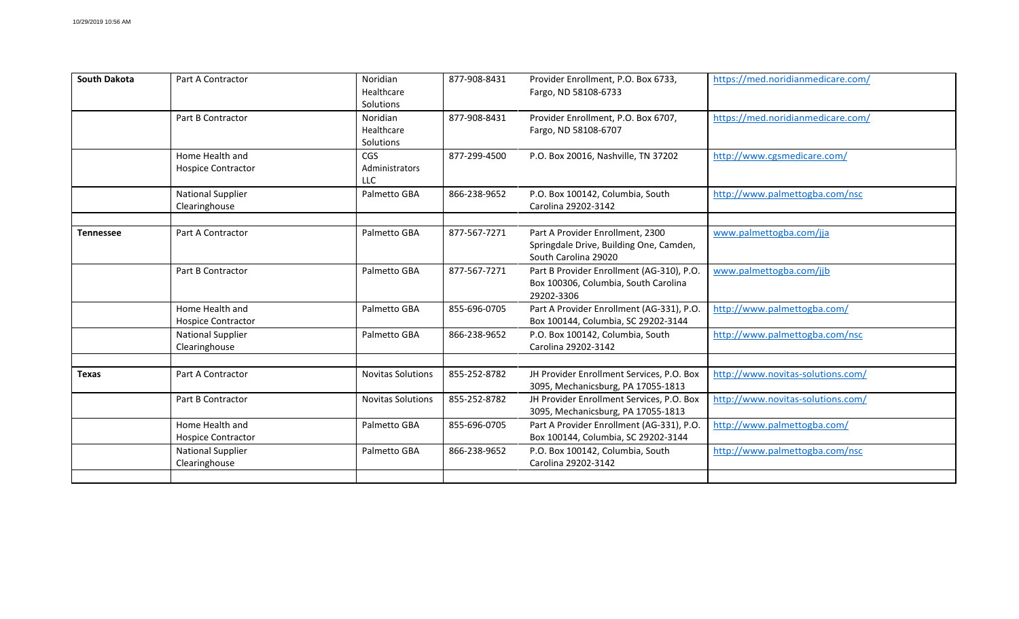| <b>South Dakota</b> | Part A Contractor                            | Noridian<br>Healthcare<br>Solutions        | 877-908-8431 | Provider Enrollment, P.O. Box 6733,<br>Fargo, ND 58108-6733                                         | https://med.noridianmedicare.com/ |
|---------------------|----------------------------------------------|--------------------------------------------|--------------|-----------------------------------------------------------------------------------------------------|-----------------------------------|
|                     | Part B Contractor                            | Noridian<br>Healthcare<br>Solutions        | 877-908-8431 | Provider Enrollment, P.O. Box 6707,<br>Fargo, ND 58108-6707                                         | https://med.noridianmedicare.com/ |
|                     | Home Health and<br><b>Hospice Contractor</b> | <b>CGS</b><br>Administrators<br><b>LLC</b> | 877-299-4500 | P.O. Box 20016, Nashville, TN 37202                                                                 | http://www.cgsmedicare.com/       |
|                     | <b>National Supplier</b><br>Clearinghouse    | Palmetto GBA                               | 866-238-9652 | P.O. Box 100142, Columbia, South<br>Carolina 29202-3142                                             | http://www.palmettogba.com/nsc    |
| Tennessee           | Part A Contractor                            | Palmetto GBA                               | 877-567-7271 | Part A Provider Enrollment, 2300<br>Springdale Drive, Building One, Camden,<br>South Carolina 29020 | www.palmettogba.com/jja           |
|                     | Part B Contractor                            | Palmetto GBA                               | 877-567-7271 | Part B Provider Enrollment (AG-310), P.O.<br>Box 100306, Columbia, South Carolina<br>29202-3306     | www.palmettogba.com/jjb           |
|                     | Home Health and<br><b>Hospice Contractor</b> | Palmetto GBA                               | 855-696-0705 | Part A Provider Enrollment (AG-331), P.O.<br>Box 100144, Columbia, SC 29202-3144                    | http://www.palmettogba.com/       |
|                     | <b>National Supplier</b><br>Clearinghouse    | Palmetto GBA                               | 866-238-9652 | P.O. Box 100142, Columbia, South<br>Carolina 29202-3142                                             | http://www.palmettogba.com/nsc    |
| <b>Texas</b>        | Part A Contractor                            | <b>Novitas Solutions</b>                   | 855-252-8782 | JH Provider Enrollment Services, P.O. Box<br>3095, Mechanicsburg, PA 17055-1813                     | http://www.novitas-solutions.com/ |
|                     | Part B Contractor                            | <b>Novitas Solutions</b>                   | 855-252-8782 | JH Provider Enrollment Services, P.O. Box<br>3095, Mechanicsburg, PA 17055-1813                     | http://www.novitas-solutions.com/ |
|                     | Home Health and<br><b>Hospice Contractor</b> | Palmetto GBA                               | 855-696-0705 | Part A Provider Enrollment (AG-331), P.O.<br>Box 100144, Columbia, SC 29202-3144                    | http://www.palmettogba.com/       |
|                     | <b>National Supplier</b><br>Clearinghouse    | Palmetto GBA                               | 866-238-9652 | P.O. Box 100142, Columbia, South<br>Carolina 29202-3142                                             | http://www.palmettogba.com/nsc    |
|                     |                                              |                                            |              |                                                                                                     |                                   |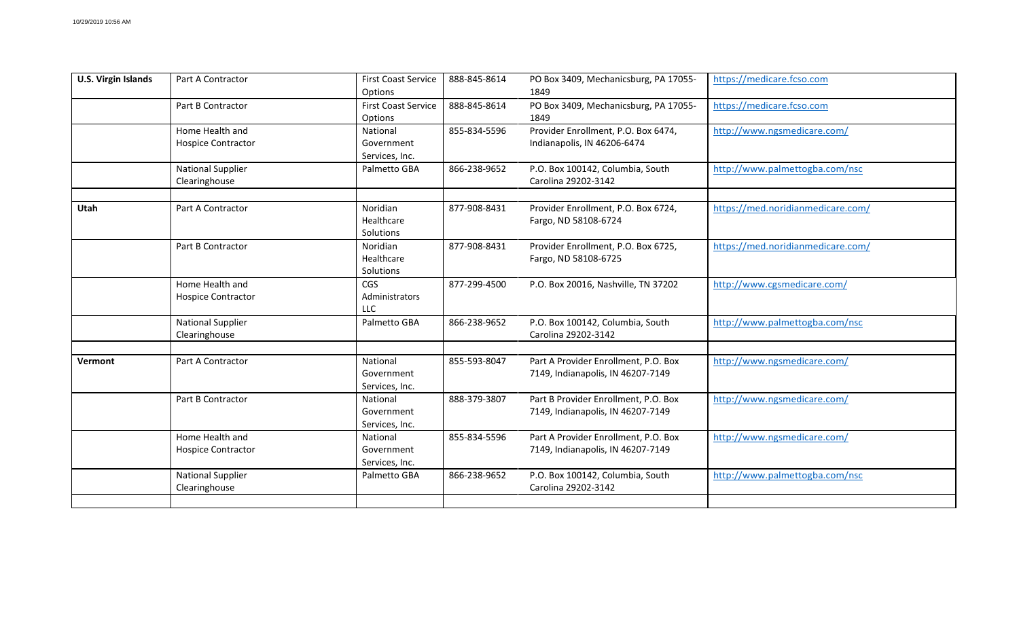| <b>U.S. Virgin Islands</b> | <b>Part A Contractor</b>                     | <b>First Coast Service</b><br>Options      | 888-845-8614 | PO Box 3409, Mechanicsburg, PA 17055-<br>1849                             | https://medicare.fcso.com         |
|----------------------------|----------------------------------------------|--------------------------------------------|--------------|---------------------------------------------------------------------------|-----------------------------------|
|                            | Part B Contractor                            | <b>First Coast Service</b><br>Options      | 888-845-8614 | PO Box 3409, Mechanicsburg, PA 17055-<br>1849                             | https://medicare.fcso.com         |
|                            | Home Health and<br><b>Hospice Contractor</b> | National<br>Government<br>Services, Inc.   | 855-834-5596 | Provider Enrollment, P.O. Box 6474,<br>Indianapolis, IN 46206-6474        | http://www.ngsmedicare.com/       |
|                            | <b>National Supplier</b><br>Clearinghouse    | Palmetto GBA                               | 866-238-9652 | P.O. Box 100142, Columbia, South<br>Carolina 29202-3142                   | http://www.palmettogba.com/nsc    |
| Utah                       | Part A Contractor                            | Noridian<br>Healthcare<br>Solutions        | 877-908-8431 | Provider Enrollment, P.O. Box 6724,<br>Fargo, ND 58108-6724               | https://med.noridianmedicare.com/ |
|                            | Part B Contractor                            | Noridian<br>Healthcare<br>Solutions        | 877-908-8431 | Provider Enrollment, P.O. Box 6725,<br>Fargo, ND 58108-6725               | https://med.noridianmedicare.com/ |
|                            | Home Health and<br><b>Hospice Contractor</b> | <b>CGS</b><br>Administrators<br><b>LLC</b> | 877-299-4500 | P.O. Box 20016, Nashville, TN 37202                                       | http://www.cgsmedicare.com/       |
|                            | <b>National Supplier</b><br>Clearinghouse    | Palmetto GBA                               | 866-238-9652 | P.O. Box 100142, Columbia, South<br>Carolina 29202-3142                   | http://www.palmettogba.com/nsc    |
| Vermont                    | Part A Contractor                            | National<br>Government<br>Services, Inc.   | 855-593-8047 | Part A Provider Enrollment, P.O. Box<br>7149, Indianapolis, IN 46207-7149 | http://www.ngsmedicare.com/       |
|                            | Part B Contractor                            | National<br>Government<br>Services, Inc.   | 888-379-3807 | Part B Provider Enrollment, P.O. Box<br>7149, Indianapolis, IN 46207-7149 | http://www.ngsmedicare.com/       |
|                            | Home Health and<br><b>Hospice Contractor</b> | National<br>Government<br>Services, Inc.   | 855-834-5596 | Part A Provider Enrollment, P.O. Box<br>7149, Indianapolis, IN 46207-7149 | http://www.ngsmedicare.com/       |
|                            | National Supplier<br>Clearinghouse           | Palmetto GBA                               | 866-238-9652 | P.O. Box 100142, Columbia, South<br>Carolina 29202-3142                   | http://www.palmettogba.com/nsc    |
|                            |                                              |                                            |              |                                                                           |                                   |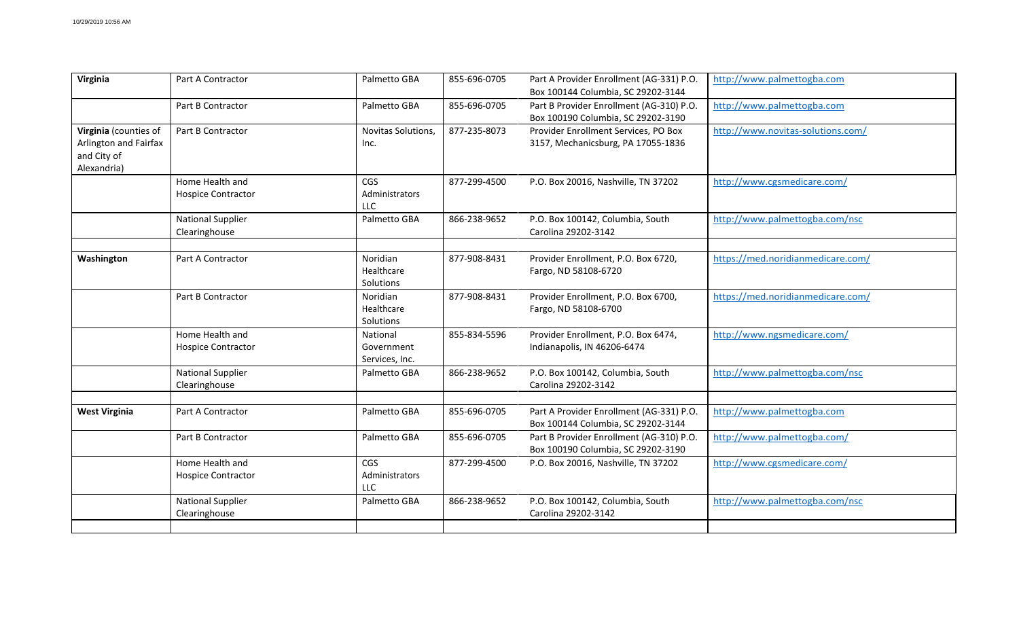| Virginia                                                                     | Part A Contractor                            | Palmetto GBA                             | 855-696-0705 | Part A Provider Enrollment (AG-331) P.O.<br>Box 100144 Columbia, SC 29202-3144 | http://www.palmettogba.com        |
|------------------------------------------------------------------------------|----------------------------------------------|------------------------------------------|--------------|--------------------------------------------------------------------------------|-----------------------------------|
|                                                                              | Part B Contractor                            | Palmetto GBA                             | 855-696-0705 | Part B Provider Enrollment (AG-310) P.O.<br>Box 100190 Columbia, SC 29202-3190 | http://www.palmettogba.com        |
| Virginia (counties of<br>Arlington and Fairfax<br>and City of<br>Alexandria) | Part B Contractor                            | Novitas Solutions,<br>Inc.               | 877-235-8073 | Provider Enrollment Services, PO Box<br>3157, Mechanicsburg, PA 17055-1836     | http://www.novitas-solutions.com/ |
|                                                                              | Home Health and<br>Hospice Contractor        | <b>CGS</b><br>Administrators<br>ШC       | 877-299-4500 | P.O. Box 20016, Nashville, TN 37202                                            | http://www.cgsmedicare.com/       |
|                                                                              | <b>National Supplier</b><br>Clearinghouse    | Palmetto GBA                             | 866-238-9652 | P.O. Box 100142, Columbia, South<br>Carolina 29202-3142                        | http://www.palmettogba.com/nsc    |
| Washington                                                                   | Part A Contractor                            | Noridian<br>Healthcare<br>Solutions      | 877-908-8431 | Provider Enrollment, P.O. Box 6720,<br>Fargo, ND 58108-6720                    | https://med.noridianmedicare.com/ |
|                                                                              | Part B Contractor                            | Noridian<br>Healthcare<br>Solutions      | 877-908-8431 | Provider Enrollment, P.O. Box 6700,<br>Fargo, ND 58108-6700                    | https://med.noridianmedicare.com/ |
|                                                                              | Home Health and<br><b>Hospice Contractor</b> | National<br>Government<br>Services, Inc. | 855-834-5596 | Provider Enrollment, P.O. Box 6474,<br>Indianapolis, IN 46206-6474             | http://www.ngsmedicare.com/       |
|                                                                              | <b>National Supplier</b><br>Clearinghouse    | Palmetto GBA                             | 866-238-9652 | P.O. Box 100142, Columbia, South<br>Carolina 29202-3142                        | http://www.palmettogba.com/nsc    |
| <b>West Virginia</b>                                                         | Part A Contractor                            | Palmetto GBA                             | 855-696-0705 | Part A Provider Enrollment (AG-331) P.O.<br>Box 100144 Columbia, SC 29202-3144 | http://www.palmettogba.com        |
|                                                                              | Part B Contractor                            | Palmetto GBA                             | 855-696-0705 | Part B Provider Enrollment (AG-310) P.O.<br>Box 100190 Columbia, SC 29202-3190 | http://www.palmettogba.com/       |
|                                                                              | Home Health and<br><b>Hospice Contractor</b> | CGS<br>Administrators<br><b>LLC</b>      | 877-299-4500 | P.O. Box 20016, Nashville, TN 37202                                            | http://www.cgsmedicare.com/       |
|                                                                              | <b>National Supplier</b><br>Clearinghouse    | Palmetto GBA                             | 866-238-9652 | P.O. Box 100142, Columbia, South<br>Carolina 29202-3142                        | http://www.palmettogba.com/nsc    |